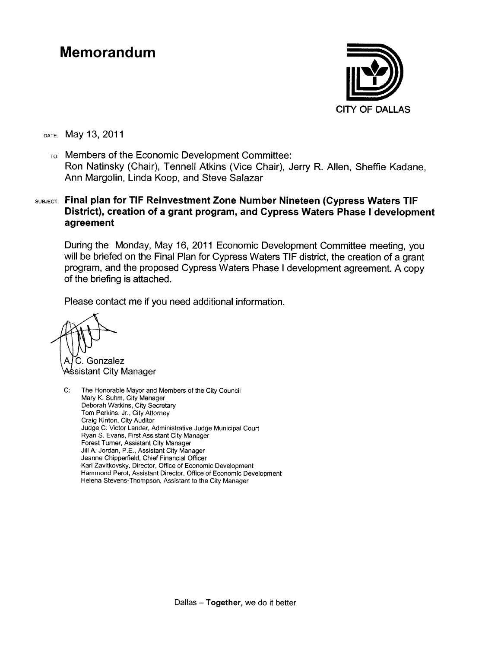#### **Memorandum**



рате: Мау 13, 2011

TO: Members of the Economic Development Committee: Ron Natinsky (Chair), Tennell Atkins (Vice Chair), Jerry R. Allen, Sheffie Kadane, Ann Margolin, Linda Koop, and Steve Salazar

#### SUBJECT: Final plan for TIF Reinvestment Zone Number Nineteen (Cypress Waters TIF District), creation of a grant program, and Cypress Waters Phase I development agreement

During the Monday, May 16, 2011 Economic Development Committee meeting, you will be briefed on the Final Plan for Cypress Waters TIF district, the creation of a grant program, and the proposed Cypress Waters Phase I development agreement. A copy of the briefing is attached.

Please contact me if you need additional information.

C. Gonzalez ssistant City Manager

 $C:$ The Honorable Mayor and Members of the City Council Mary K. Suhm. City Manager Deborah Watkins, City Secretary Tom Perkins, Jr., City Attorney Craig Kinton, City Auditor Judge C. Victor Lander, Administrative Judge Municipal Court Ryan S. Evans, First Assistant City Manager Forest Turner, Assistant City Manager Jill A. Jordan, P.E., Assistant City Manager Jeanne Chipperfield, Chief Financial Officer Karl Zavitkovsky, Director, Office of Economic Development Hammond Perot, Assistant Director, Office of Economic Development Helena Stevens-Thompson, Assistant to the City Manager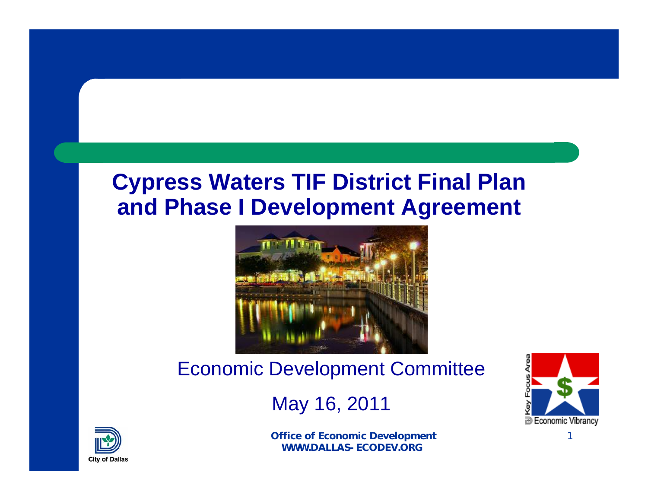#### **Cypress Waters TIF District Final Plan and Phase I Development Agreement**



#### Economic Development Committee

#### May 16, 2011



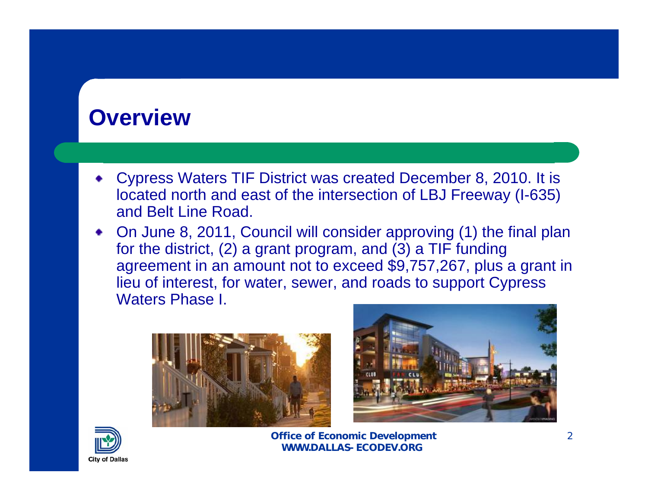#### **Overview**

- Cypress Waters TIF District was created December 8, 2010. It is located north and east of the intersection of LBJ Freeway (I-635) and Belt Line Road.
- On June 8, 2011, Council will consider approving (1) the final plan for the district, (2) a grant program, and (3) a TIF funding agreement in an amount not to exceed \$9,757,267, plus a grant in lieu of interest, for water, sewer, and roads to support Cypress Waters Phase I.





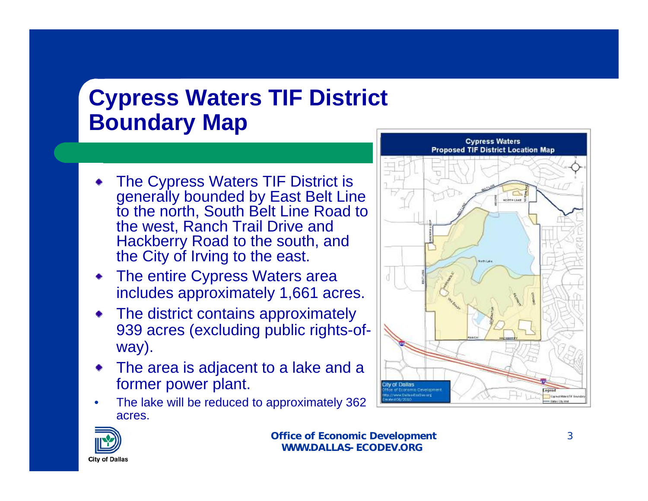## **Cypress Waters TIF District Boundary Map**

- The Cypress Waters TIF District is generally bounded by East Belt Line to the north, South Belt Line Road to the west, Ranch Trail Drive and Hackberry Road to the south, and the City of Irving to the east.
- The entire Cypress Waters area includes approximately 1,661 acres.
- The district contains approximately 939 acres (excluding public rights-ofway).
- The area is adjacent to a lake and a former power plant.
- The lake will be reduced to approximately 362 acres.



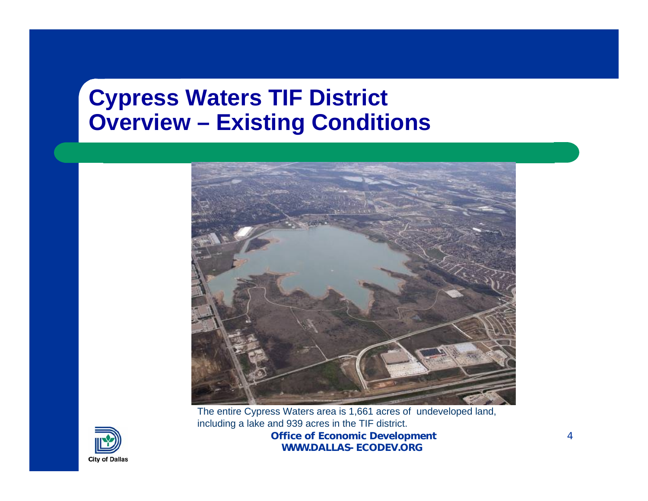#### **Cypress Waters TIF District Overview – Existing Conditions**



**Office of Economic Development WWW.DALLAS-ECODEV.ORG**The entire Cypress Waters area is 1,661 acres of undeveloped land, including a lake and 939 acres in the TIF district.

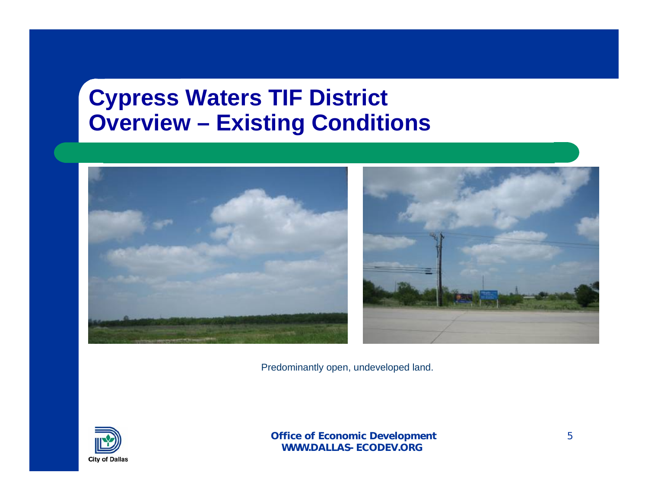#### **Cypress Waters TIF District Overview – Existing Conditions**



Predominantly open, undeveloped land.

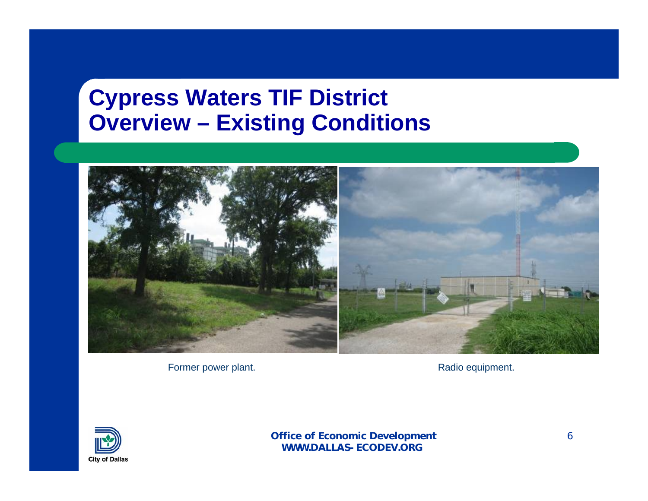#### **Cypress Waters TIF District Overview – Existing Conditions**



Former power plant.

Radio equipment.

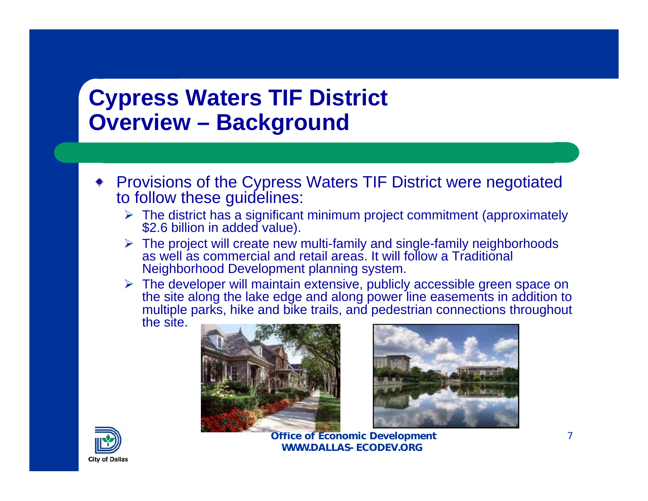#### **Cypress Waters TIF District Overview – Background**

- Provisions of the Cypress Waters TIF District were negotiated to follow these guidelines:
	- The district has a significant minimum project commitment (approximately \$2.6 billion in added value).
	- $\triangleright$  The project will create new multi-family and single-family neighborhoods as well as commercial and retail areas. It will follow a Traditional Neighborhood Development planning system.
	- $\triangleright$  The developer will maintain extensive, publicly accessible green space on the site along the lake edge and along power line easements in addition to multiple parks, hike and bike trails, and pedestrian connections throughout the site.





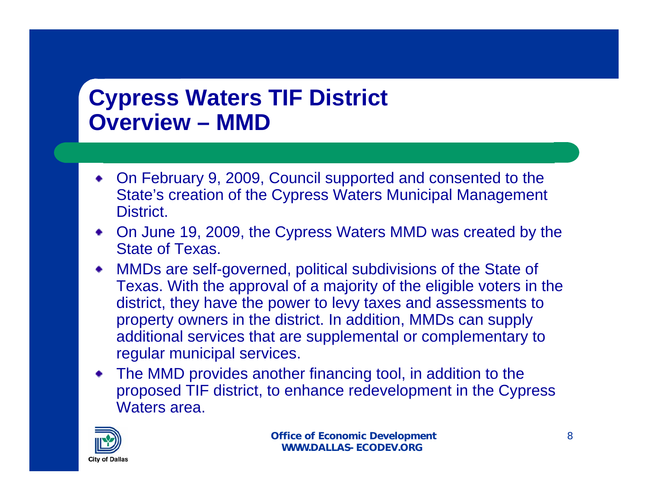### **Cypress Waters TIF District Overview – MMD**

- On February 9, 2009, Council supported and consented to the State's creation of the Cypress Waters Municipal Management District.
- On June 19, 2009, the Cypress Waters MMD was created by the State of Texas.
- MMDs are self-governed, political subdivisions of the State of Texas. With the approval of a majority of the eligible voters in the district, they have the power to levy taxes and assessments to property owners in the district. In addition, MMDs can supply additional services that are supplemental or complementary to regular municipal services.
- The MMD provides another financing tool, in addition to the proposed TIF district, to enhance redevelopment in the Cypress Waters area.

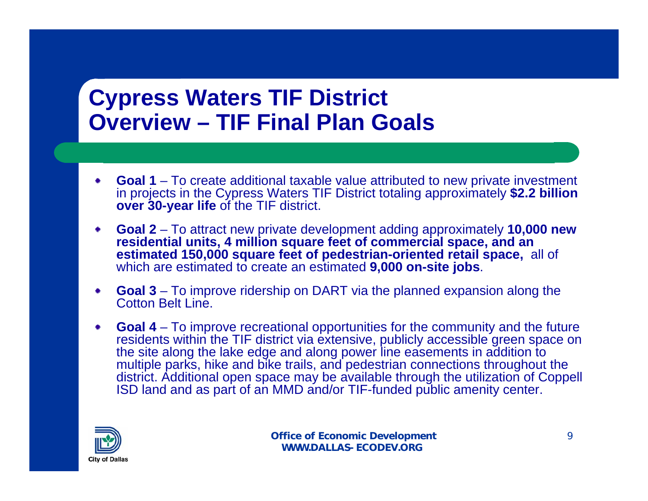#### **Cypress Waters TIF District Overview – TIF Final Plan Goals**

- **Goal 1**  To create additional taxable value attributed to new private investment in projects in the Cypress Waters TIF District totaling approximately **\$2.2 billion over 30-year life** of the TIF district.
- **Goal 2**  To attract new private development adding approximately **10,000 new**  ۰ **residential units, 4 million square feet of commercial space, and an estimated 150,000 square feet of pedestrian-oriented retail space,** all of which are estimated to create an estimated **9,000 on-site jobs**.
- **Goal 3**  To improve ridership on DART via the planned expansion along the Cotton Belt Line.
- **Goal 4**  To improve recreational opportunities for the community and the future residents within the TIF district via extensive, publicly accessible green space on the site along the lake edge and along power line easements in addition to multiple parks, hike and bike trails, and pedestrian connections throughout the district. Additional open space may be available through the utilization of Coppell ISD land and as part of an MMD and/or TIF-funded public amenity center.

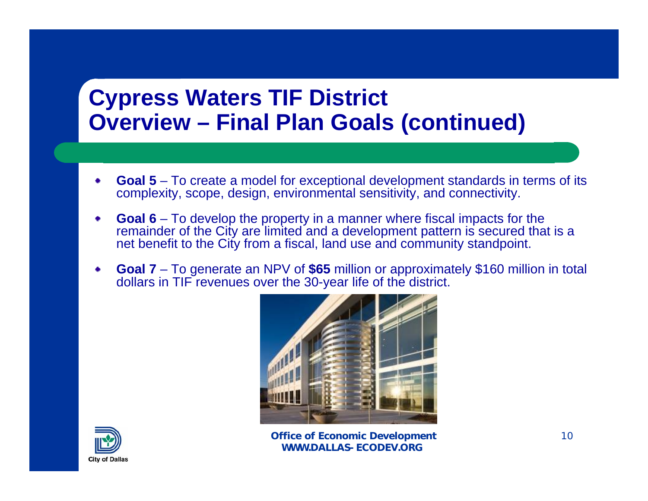#### **Cypress Waters TIF District Overview – Final Plan Goals (continued)**

- **Goal 5**  To create a model for exceptional development standards in terms of its complexity, scope, design, environmental sensitivity, and connectivity.
- **Goal 6**  To develop the property in a manner where fiscal impacts for the remainder of the City are limited and a development pattern is secured that is a net benefit to the City from a fiscal, land use and community standpoint.
- **Goal 7**  To generate an NPV of **\$65** million or approximately \$160 million in total ۰ dollars in TIF revenues over the 30-year life of the district.



**Office of Economic Development WWW.DALLAS-ECODEV.ORG**

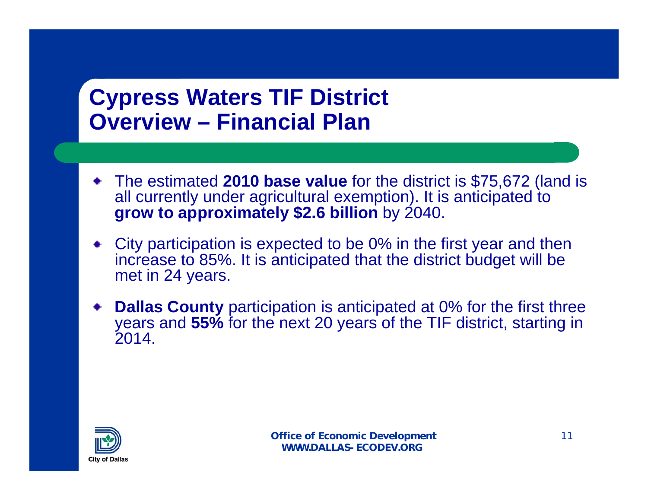### **Cypress Waters TIF District Overview – Financial Plan**

- The estimated **2010 base value** for the district is \$75,672 (land is all currently under agricultural exemption). It is anticipated to **grow to approximately \$2.6 billion** by 2040.
- City participation is expected to be 0% in the first year and then increase to 85%. It is anticipated that the district budget will be met in 24 years.
- **Dallas County** participation is anticipated at 0% for the first three years and **55%** for the next 20 years of the TIF district, starting in 2014.

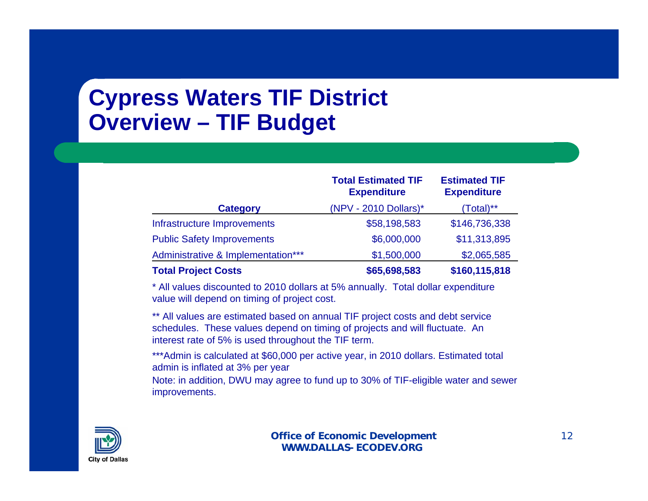## **Cypress Waters TIF District Overview – TIF Budget**

|                                    | <b>Total Estimated TIF</b><br><b>Expenditure</b> | <b>Estimated TIF</b><br><b>Expenditure</b> |
|------------------------------------|--------------------------------------------------|--------------------------------------------|
| <b>Category</b>                    | $(NPV - 2010$ Dollars)*                          | Total)**                                   |
| Infrastructure Improvements        | \$58,198,583                                     | \$146,736,338                              |
| <b>Public Safety Improvements</b>  | \$6,000,000                                      | \$11,313,895                               |
| Administrative & Implementation*** | \$1,500,000                                      | \$2,065,585                                |
| <b>Total Project Costs</b>         | \$65,698,583                                     | \$160,115,818                              |

\* All values discounted to 2010 dollars at 5% annually. Total dollar expenditure value will depend on timing of project cost.

\*\* All values are estimated based on annual TIF project costs and debt service schedules. These values depend on timing of projects and will fluctuate. An interest rate of 5% is used throughout the TIF term.

\*\*\*Admin is calculated at \$60,000 per active year, in 2010 dollars. Estimated total admin is inflated at 3% per year

Note: in addition, DWU may agree to fund up to 30% of TIF-eligible water and sewer improvements.

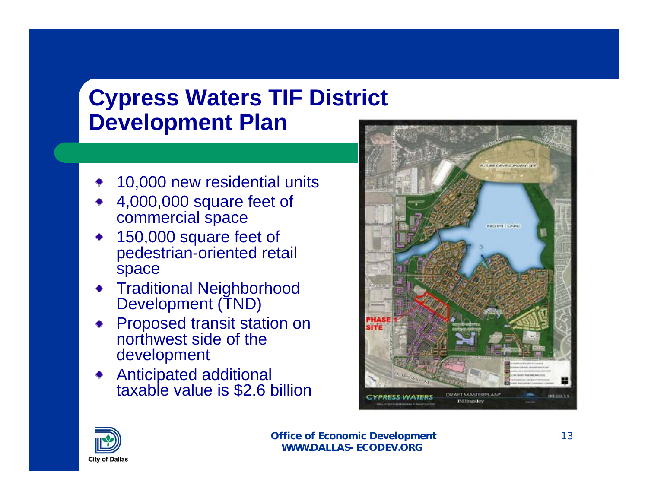## **Cypress Waters TIF District Development Plan**

- 10,000 new residential units
- 4,000,000 square feet of commercial space
- 150,000 square feet of pedestrian-oriented retail space
- **\*** Traditional Neighborhood Development (TND)
- **Proposed transit station on** northwest side of the development
- Anticipated additional taxable value is \$2.6 billion



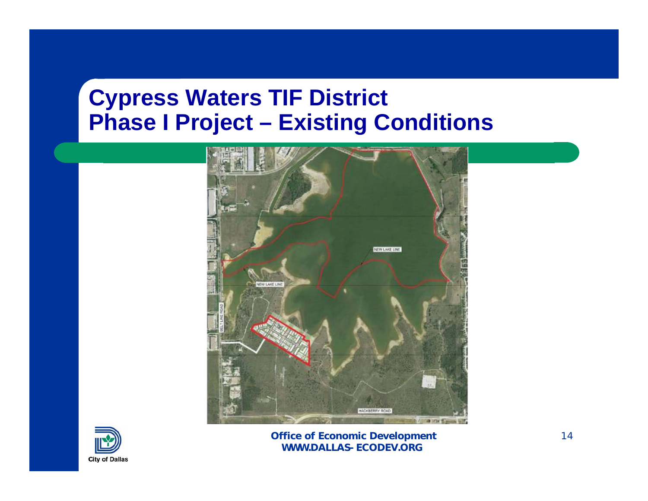#### **Cypress Waters TIF District Phase I Project – Existing Conditions**



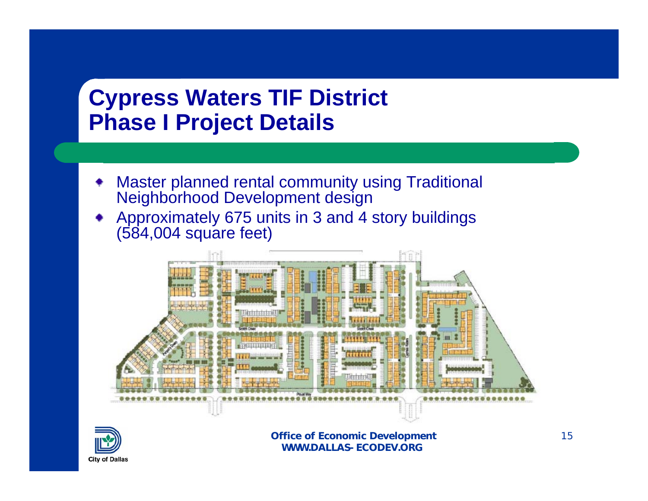#### **Cypress Waters TIF District Phase I Project Details**

- Master planned rental community using Traditional Neighborhood Development design
- Approximately 675 units in 3 and 4 story buildings (584,004 square feet)



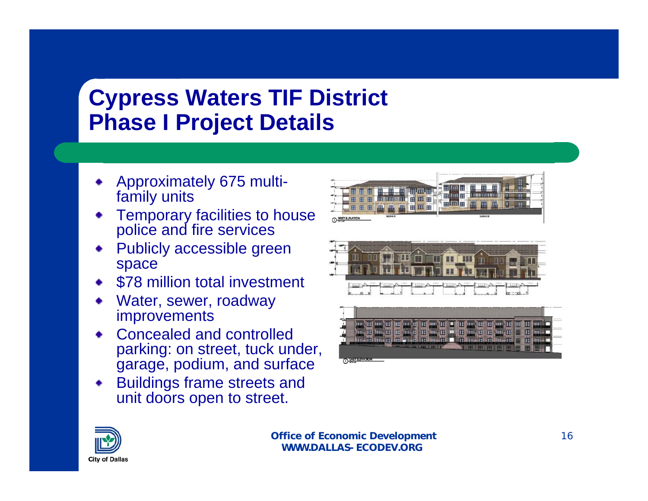## **Cypress Waters TIF District Phase I Project Details**

- Approximately 675 multifamily units
- Temporary facilities to house police and fire services
- Publicly accessible green space
- \$78 million total investment
- Water, sewer, roadway improvements
- Concealed and controlled parking: on street, tuck under, garage, podium, and surface
- Buildings frame streets and unit doors open to street.







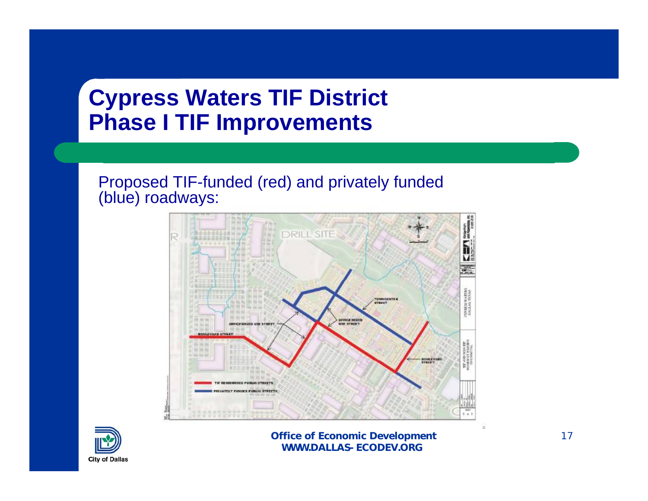#### **Cypress Waters TIF District Phase I TIF Improvements**

Proposed TIF-funded (red) and privately funded (blue) roadways:



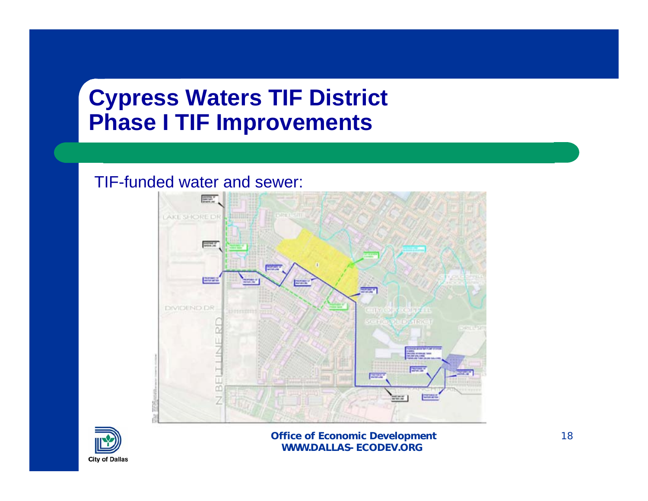#### **Cypress Waters TIF District Phase I TIF Improvements**

#### TIF-funded water and sewer:



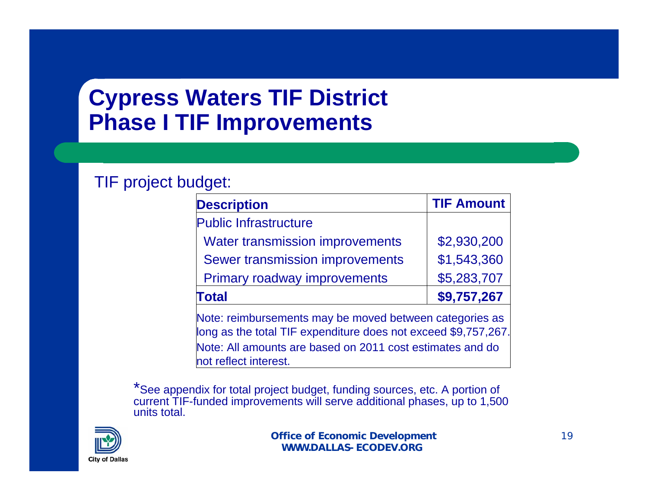### **Cypress Waters TIF District Phase I TIF Improvements**

#### TIF project budget:

| <b>Description</b>                                                                                                                                                                                              | <b>TIF Amount</b> |  |  |  |  |
|-----------------------------------------------------------------------------------------------------------------------------------------------------------------------------------------------------------------|-------------------|--|--|--|--|
| <b>Public Infrastructure</b>                                                                                                                                                                                    |                   |  |  |  |  |
| <b>Water transmission improvements</b>                                                                                                                                                                          | \$2,930,200       |  |  |  |  |
| <b>Sewer transmission improvements</b>                                                                                                                                                                          | \$1,543,360       |  |  |  |  |
| <b>Primary roadway improvements</b>                                                                                                                                                                             | \$5,283,707       |  |  |  |  |
| Total                                                                                                                                                                                                           | \$9,757,267       |  |  |  |  |
| Note: reimbursements may be moved between categories as<br>long as the total TIF expenditure does not exceed \$9,757,267.<br>Note: All amounts are based on 2011 cost estimates and do<br>not reflect interest. |                   |  |  |  |  |

\*See appendix for total project budget, funding sources, etc. A portion of current TIF-funded improvements will serve additional phases, up to 1,500 units total.

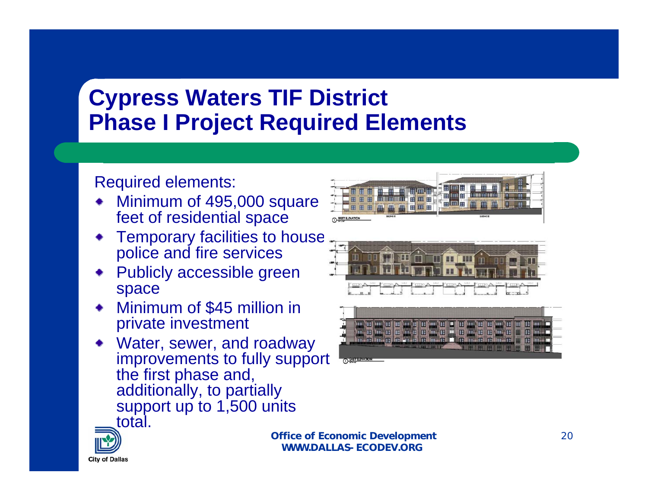### **Cypress Waters TIF District Phase I Project Required Elements**

#### Required elements:

- Minimum of 495,000 square feet of residential space
- Temporary facilities to house police and fire services
- Publicly accessible green space
- Minimum of \$45 million in private investment
- Water, sewer, and roadway improvements to fully support the first phase and, additionally, to partially support up to 1,500 units total.







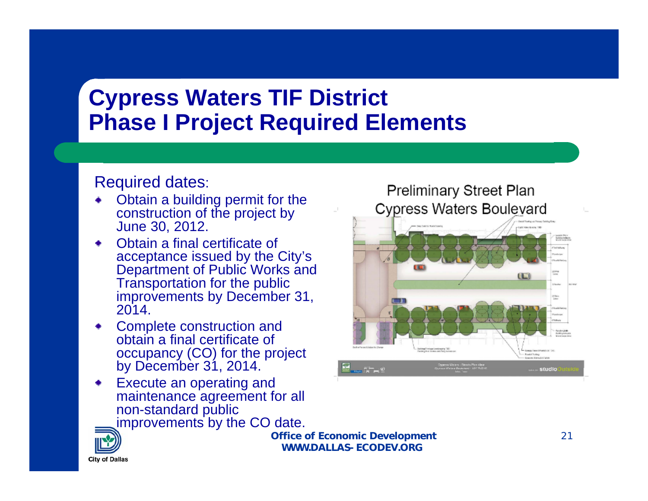### **Cypress Waters TIF District Phase I Project Required Elements**

#### Required dates:

- Obtain a building permit for the construction of the project by June 30, 2012.
- Obtain a final certificate of acceptance issued by the City's Department of Public Works and Transportation for the public improvements by December 31, 2014.
- Complete construction and obtain a final certificate of occupancy (CO) for the project by December 31, 2014.
- Execute an operating and maintenance agreement for all non-standard public



**Office of Economic Development WWW.DALLAS-ECODEV.ORG**



**City of Dallas**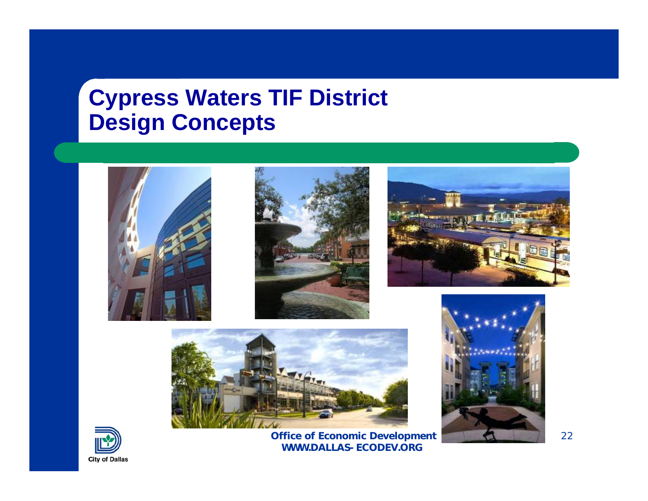#### **Cypress Waters TIF District Design Concepts**





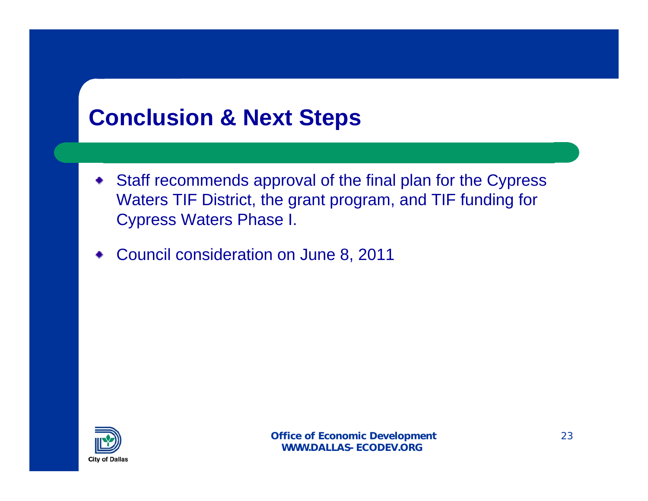## **Conclusion & Next Steps**

- Staff recommends approval of the final plan for the Cypress Waters TIF District, the grant program, and TIF funding for Cypress Waters Phase I.
- Council consideration on June 8, 2011

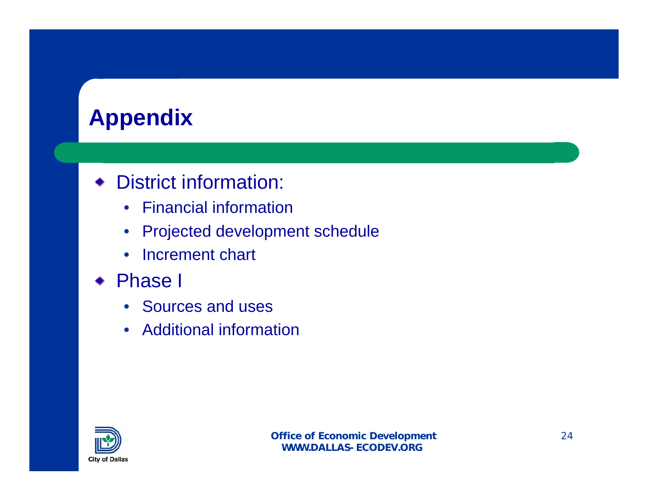# **Appendix**

#### District information:

- Financial information
- Projected development schedule
- Increment chart
- Phase I
	- Sources and uses
	- Additional information

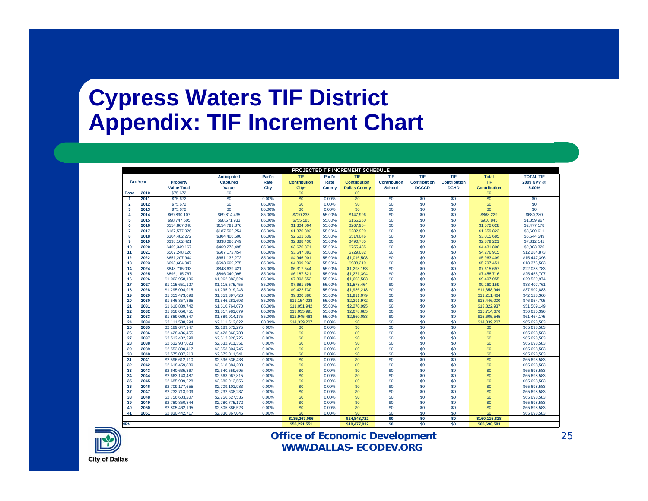#### **Cypress Waters TIF District Appendix: TIF Increment Chart**

| PROJECTED TIF INCREMENT SCHEDULE |                 |                    |                    |        |                     |        |                      |                     |                     |                     |                     |                  |
|----------------------------------|-----------------|--------------------|--------------------|--------|---------------------|--------|----------------------|---------------------|---------------------|---------------------|---------------------|------------------|
|                                  |                 |                    | <b>Anticipated</b> | Part'n | <b>TIF</b>          | Part'n | TIF                  | TIF                 | TIF                 | <b>TIF</b>          | <b>Total</b>        | <b>TOTAL TIF</b> |
|                                  | <b>Tax Year</b> | Property           | <b>Captured</b>    | Rate   | <b>Contribution</b> | Rate   | <b>Contribution</b>  | <b>Contribution</b> | <b>Contribution</b> | <b>Contribution</b> | <b>TIF</b>          | 2009 NPV @       |
|                                  |                 | <b>Value Total</b> | Value              | City   | City*               | County | <b>Dallas County</b> | <b>School</b>       | <b>DCCCD</b>        | <b>DCHD</b>         | <b>Contribution</b> | 5.00%            |
| <b>Base</b>                      | 2010            | \$75,672           | \$0                |        | \$0                 |        | \$0                  |                     |                     |                     | \$0                 |                  |
| -1                               | 2011            | \$75,672           | \$0                | 0.00%  | \$0                 | 0.00%  | \$0                  | \$0                 | \$0                 | \$0                 | \$0                 | \$0              |
| $\overline{2}$                   | 2012            | \$75,672           | \$0                | 85.00% | \$0                 | 0.00%  | \$0                  | \$0                 | \$0                 | \$0                 | \$0                 | \$0              |
| $\overline{\mathbf{3}}$          | 2013            | \$75,672           | \$0                | 85.00% | \$0                 | 0.00%  | \$0                  | \$0                 | \$0                 | \$0                 | \$0                 | \$0              |
|                                  | 2014            | \$69,890,107       | \$69,814,435       | 85.00% | \$720,233           | 55.00% | \$147,996            | \$0                 | \$0                 | \$0                 | \$868.229           | \$680,280        |
| 5                                | 2015            | \$98,747,605       | \$98,671,933       | 85.00% | \$755,585           | 55.00% | \$155,260            | \$0                 | \$0                 | \$0                 | \$910,845           | \$1,359,967      |
| 6                                | 2016            | \$154,867,048      | \$154,791,376      | 85.00% | \$1,304,064         | 55.00% | \$267,964            | \$0                 | \$0                 | \$0                 | \$1,572,028         | \$2,477,178      |
|                                  | 2017            | \$187,577,926      | \$187.502.254      | 85.00% | \$1,376,893         | 55.00% | \$282.929            | \$0                 | \$0                 | \$0                 | \$1,659,823         | \$3,600.611      |
| 8                                | 2018            | \$304,482,272      | \$304,406,600      | 85.00% | \$2,501,639         | 55.00% | \$514,046            | \$0                 | \$0                 | \$0                 | \$3,015,685         | \$5,544,549      |
| 9                                | 2019            | \$338,162,421      | \$338,086,749      | 85.00% | \$2,388,436         | 55.00% | \$490,785            | \$0                 | \$0                 | \$0                 | \$2,879,221         | \$7,312.141      |
| 10                               | 2020            | \$469,349,167      | \$469,273,495      | 85.00% | \$3,676,371         | 55.00% | \$755,435            | \$0                 | \$0                 | \$0                 | \$4,431,806         | \$9,903,326      |
| 11                               | 2021            | \$507,248,126      | \$507,172,454      | 85.00% | \$3,547,883         | 55.00% | \$729,032            | \$0                 | \$0                 | \$0                 | \$4,276,915         | \$12,284,873     |
| 12                               | 2022            | \$651,207,944      | \$651,132,272      | 85.00% | \$4,946,901         | 55.00% | \$1,016,508          | \$0                 | \$0                 | \$0                 | \$5,963,409         | \$15,447,396     |
| 13                               | 2023            | \$693,684,947      | \$693,609,275      | 85.00% | \$4,809,232         | 55.00% | \$988,219            | \$0                 | \$0                 | \$0                 | \$5,797,451         | \$18,375,503     |
| 14                               | 2024            | \$848,715,093      | \$848,639,421      | 85.00% | \$6,317,544         | 55.00% | \$1,298,153          | \$0                 | \$0                 | \$0                 | \$7,615,697         | \$22,038,783     |
| 15                               | 2025            | \$896,115,767      | \$896,040,095      | 85.00% | \$6,187,321         | 55.00% | \$1,271,394          | \$0                 | \$0                 | \$0                 | \$7,458,716         | \$25,455,707     |
| 16                               | 2026            | \$1,062,958,196    | \$1.062.882.524    | 85.00% | \$7,803,552         | 55.00% | \$1,603,503          | \$0                 | \$0                 | \$0                 | \$9,407,055         | \$29,559,974     |
| 17                               | 2027            | \$1,115,651,127    | \$1.115.575.455    | 85.00% | \$7.681.695         | 55.00% | \$1,578,464          | \$0                 | \$0                 | \$0                 | \$9,260,159         | \$33,407,761     |
| 18                               | 2028            | \$1,295,094,915    | \$1,295,019,243    | 85.00% | \$9,422,730         | 55.00% | \$1,936,218          | \$0                 | \$0                 | \$0                 | \$11,358,949        | \$37,902,883     |
| 19                               | 2029            | \$1,353,473,098    | \$1.353.397.426    | 85.00% | \$9,300,386         | 55.00% | \$1,911,079          | \$0                 | \$0                 | \$0                 | \$11.211.464        | \$42,128,366     |
| 20                               | 2030            | \$1,546,357,365    | \$1,546,281,693    | 85.00% | \$11,154,028        | 55.00% | \$2,291,972          | \$0                 | \$0                 | \$0                 | \$13,446,000        | \$46,954,705     |
| 21                               | 2031            | \$1,610,839,742    | \$1,610,764,070    | 85.00% | \$11,051,942        | 55.00% | \$2,270,995          | \$0                 | \$0                 | \$0                 | \$13,322,937        | \$51,509,149     |
| 22                               | 2032            | \$1,818,056,751    | \$1,817,981,079    | 85.00% | \$13,035,991        | 55.00% | \$2,678,685          | \$0                 | \$0                 | \$0                 | \$15,714,676        | \$56,625,396     |
| 23                               | 2033            | \$1,889,089,847    | \$1,889,014,175    | 85.00% | \$12,945,463        | 55.00% | \$2,660,083          | \$0                 | \$0                 | \$0                 | \$15,605,545        | \$61,464,175     |
| 24                               | 2034            | \$2,111,588,294    | \$2,111,512,622    | 80.89% | \$14,339,207        | 0.00%  | \$0                  | \$0                 | \$0                 | \$0                 | \$14,339,207        | \$65,698,583     |
| $\overline{25}$                  | 2035            | \$2,189,647,947    | \$2.189.572.275    | 0.00%  | \$0                 | 0.00%  | $\overline{50}$      | \$0                 | \$0                 | \$0                 | \$0                 | \$65,698,583     |
| 26                               | 2036            | \$2,428,436,455    | \$2,428,360,783    | 0.00%  | \$0                 | 0.00%  | \$0                  | \$0                 | \$0                 | \$0                 | \$0                 | \$65,698,583     |
| 27                               | 2037            | \$2,512,402,398    | \$2,512,326,726    | 0.00%  | \$0                 | 0.00%  | \$0                  | \$0                 | \$0                 | \$0                 | \$0                 | \$65,698,583     |
| 28                               | 2038            | \$2,532,987,023    | \$2,532,911,351    | 0.00%  | \$0                 | 0.00%  | \$0                  | \$0                 | \$0                 | \$0                 | \$0                 | \$65,698,583     |
| 29                               | 2039            | \$2,553,880,417    | \$2,553,804,745    | 0.00%  | \$0                 | 0.00%  | \$0                  | \$0                 | \$0                 | \$0                 | \$0                 | \$65,698,583     |
| 30                               | 2040            | \$2,575,087,213    | \$2,575,011.541    | 0.00%  | \$0                 | 0.00%  | \$0                  | \$0                 | \$0                 | \$0                 | \$0                 | \$65,698,583     |
| 31                               | 2041            | \$2,596,612,110    | \$2,596,536,438    | 0.00%  | \$0                 | 0.00%  | $\overline{50}$      | $\overline{\$0}$    | $\overline{50}$     | $\overline{50}$     | $\overline{\$0}$    | \$65,698,583     |
| 32                               | 2042            | \$2,618,459,880    | \$2,618,384,208    | 0.00%  | \$0                 | 0.00%  | \$0                  | \$0                 | \$0                 | \$0                 | \$0                 | \$65,698,583     |
| 33                               | 2043            | \$2,640,635,367    | \$2.640.559.695    | 0.00%  | \$0                 | 0.00%  | \$0                  | \$0                 | \$0                 | \$0                 | \$0                 | \$65,698,583     |
| 34                               | 2044            | \$2,663,143,487    | \$2,663,067,815    | 0.00%  | \$0                 | 0.00%  | \$0                  | \$0                 | \$0                 | \$0                 | \$0                 | \$65,698,583     |
| 35                               | 2045            | \$2,685,989,228    | \$2,685,913,556    | 0.00%  | \$0                 | 0.00%  | \$0                  | \$0                 | \$0                 | \$0                 | \$0                 | \$65,698,583     |
| 36                               | 2046            | \$2,709,177,655    | \$2,709,101,983    | 0.00%  | \$0                 | 0.00%  | \$0                  | \$0                 | \$0                 | \$0                 | \$0                 | \$65,698,583     |
| 37                               | 2047            | \$2,732,713,909    | \$2,732,638,237    | 0.00%  | \$0                 | 0.00%  | \$0                  | \$0                 | \$0                 | \$0                 | \$0                 | \$65,698,583     |
| 38                               | 2048            | \$2,756,603,207    | \$2,756,527,535    | 0.00%  | \$0                 | 0.00%  | \$0                  | \$0                 | \$0                 | \$0                 | \$0                 | \$65,698,583     |
| 39                               | 2049            | \$2,780,850,844    | \$2,780,775,172    | 0.00%  | \$0                 | 0.00%  | \$0                  | \$0                 | \$0                 | \$0                 | \$0                 | \$65,698,583     |
| 40                               | 2050            | \$2,805,462,195    | \$2,805,386,523    | 0.00%  | \$0                 | 0.00%  | \$0                  | \$0                 | \$0                 | \$0                 | \$0                 | \$65,698,583     |
| 41                               | 2051            | \$2,830,442,717    | \$2,830,367,045    | 0.00%  | \$0                 | 0.00%  | \$0                  | \$0                 | \$0                 | \$0                 | \$0                 | \$65,698,583     |
|                                  |                 |                    |                    |        | \$135,267,096       |        | \$24.848.722         | \$0                 | \$0                 | \$0                 | \$160.115.818       |                  |



**NPV**

#### **Office of Economic Development WWW.DALLAS-ECODEV.ORG**

**\$55,221,551 \$10,477,032 \$0 \$0 \$0 \$65,698,583**

**City of Dallas**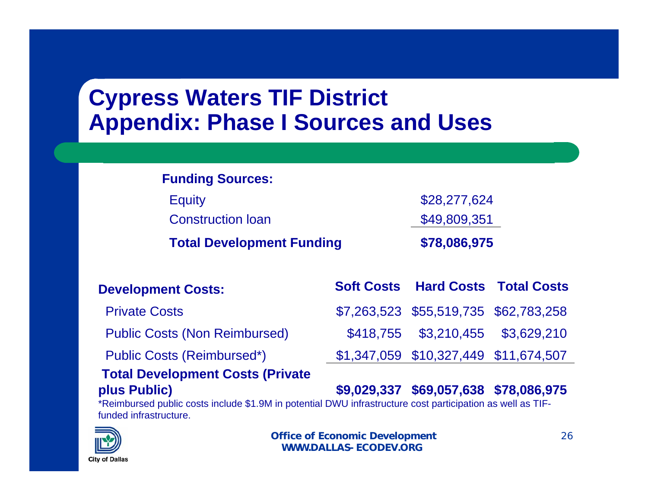### **Cypress Waters TIF District Appendix: Phase I Sources and Uses**

| <b>Funding Sources:</b>          |  |                                          |  |
|----------------------------------|--|------------------------------------------|--|
| <b>Equity</b>                    |  | \$28,277,624                             |  |
| <b>Construction loan</b>         |  | \$49,809,351                             |  |
| <b>Total Development Funding</b> |  | \$78,086,975                             |  |
| <b>Development Costs:</b>        |  | <b>Soft Costs Hard Costs Total Costs</b> |  |
| <b>PUILLER</b>                   |  |                                          |  |

| <b>Povolophiont</b> Occio:              |                                       |  |
|-----------------------------------------|---------------------------------------|--|
| <b>Private Costs</b>                    | \$7,263,523 \$55,519,735 \$62,783,258 |  |
| <b>Public Costs (Non Reimbursed)</b>    | \$418,755 \$3,210,455 \$3,629,210     |  |
| <b>Public Costs (Reimbursed*)</b>       | \$1,347,059 \$10,327,449 \$11,674,507 |  |
| <b>Total Development Costs (Private</b> |                                       |  |

#### **plus Public) \$9,029,337 \$69,057,638 \$78,086,975**

\*Reimbursed public costs include \$1.9M in potential DWU infrastructure cost participation as well as TIFfunded infrastructure.